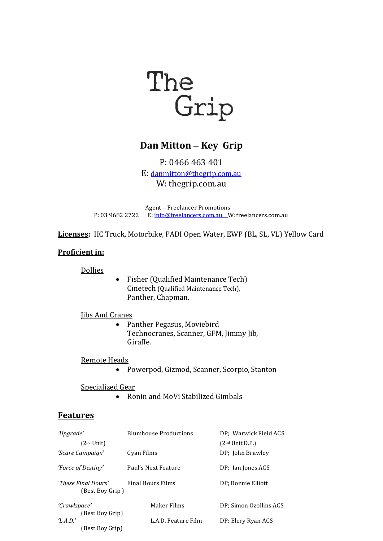

# **Dan Mitton – Key Grip**

P: 0466 463 401 E: [danmitton@thegrip.com.au](mailto:danmitton@thegrip.com.au) W: thegrip.com.au

Agent – Freelancer Promotions P: 03 9682 2722 E: [info@freelancers.com.au](mailto:info@freelancers.com.au) W:freelancers.com.au

**Licenses:** HC Truck, Motorbike, PADI Open Water, EWP (BL, SL, VL) Yellow Card

### **Proficient in:**

Dollies

• Fisher (Qualified Maintenance Tech) Cinetech (Qualified Maintenance Tech), Panther, Chapman.

### Jibs And Cranes

• Panther Pegasus, Moviebird Technocranes, Scanner, GFM, Jimmy Jib, Giraffe.

#### Remote Heads

• Powerpod, Gizmod, Scanner, Scorpio, Stanton

#### Specialized Gear

• Ronin and MoVi Stabilized Gimbals

### **Features**

| 'Upgrade'                              | <b>Blumhouse Productions</b> | DP: Warwick Field ACS       |  |
|----------------------------------------|------------------------------|-----------------------------|--|
| (2 <sup>nd</sup> Unit)                 |                              | (2 <sup>nd</sup> Unit D.P.) |  |
| 'Scare Campaign'                       | Cyan Films                   | DP; John Brawley            |  |
| 'Force of Destiny'                     | Paul's Next Feature          | DP: Ian Jones ACS           |  |
| 'These Final Hours'<br>(Best Boy Grip) | <b>Final Hours Films</b>     | DP; Bonnie Elliott          |  |
| 'Crawlspace'<br>(Best Boy Grip)        | Maker Films                  | DP; Simon Ozollins ACS      |  |
| T.A.D.'<br>(Best Boy Grip)             | L.A.D. Feature Film          | DP; Elery Ryan ACS          |  |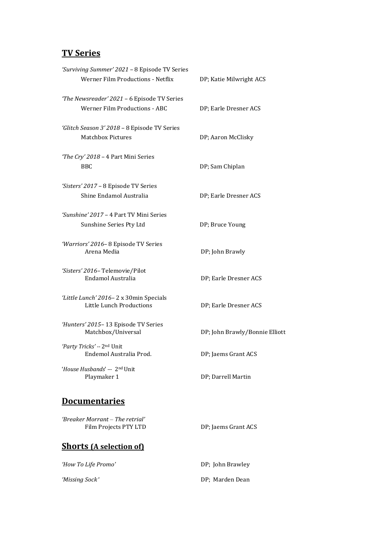## **TV Series**

| 'Surviving Summer' 2021 - 8 Episode TV Series<br>Werner Film Productions - Netflix | DP; Katie Milwright ACS        |
|------------------------------------------------------------------------------------|--------------------------------|
| 'The Newsreader' 2021 - 6 Episode TV Series<br>Werner Film Productions - ABC       | DP; Earle Dresner ACS          |
| 'Glitch Season 3' 2018 - 8 Episode TV Series<br><b>Matchbox Pictures</b>           | DP; Aaron McClisky             |
| 'The Cry' 2018 - 4 Part Mini Series<br>BBC.                                        | DP; Sam Chiplan                |
| 'Sisters' 2017 - 8 Episode TV Series<br>Shine Endamol Australia                    | DP; Earle Dresner ACS          |
| 'Sunshine' 2017 - 4 Part TV Mini Series<br>Sunshine Series Pty Ltd                 | DP; Bruce Young                |
| 'Warriors' 2016-8 Episode TV Series<br>Arena Media                                 | DP; John Brawly                |
| 'Sisters' 2016-Telemovie/Pilot<br><b>Endamol Australia</b>                         | DP; Earle Dresner ACS          |
| 'Little Lunch' 2016-2 x 30min Specials<br>Little Lunch Productions                 | DP; Earle Dresner ACS          |
| 'Hunters' 2015-13 Episode TV Series<br>Matchbox/Universal                          | DP; John Brawly/Bonnie Elliott |
| 'Party Tricks' -- 2nd Unit<br>Endemol Australia Prod.                              | DP; Jaems Grant ACS            |
| <i>'House Husbands'</i> --- 2 <sup>nd</sup> Unit<br>Playmaker 1                    | DP; Darrell Martin             |
| <b>Documentaries</b>                                                               |                                |
| 'Breaker Morrant - The retrial'<br>Film Projects PTY LTD                           | DP; Jaems Grant ACS            |
| <b>Shorts (A selection of)</b>                                                     |                                |

| 'How To Life Promo' | DP; John Brawley |
|---------------------|------------------|
| 'Missing Sock'      | DP; Marden Dean  |